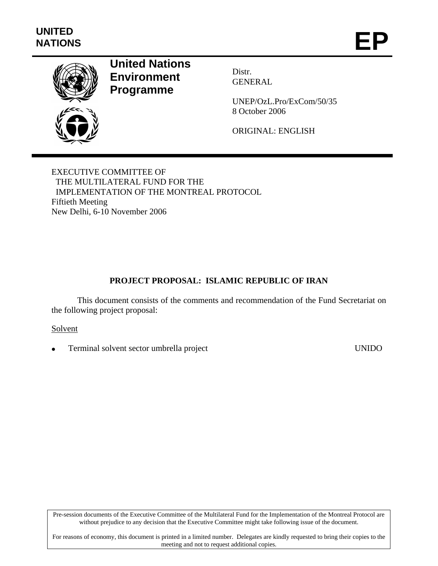

# **United Nations Environment Programme**

Distr. GENERAL

UNEP/OzL.Pro/ExCom/50/35 8 October 2006

ORIGINAL: ENGLISH

EXECUTIVE COMMITTEE OF THE MULTILATERAL FUND FOR THE IMPLEMENTATION OF THE MONTREAL PROTOCOL Fiftieth Meeting New Delhi, 6-10 November 2006

# **PROJECT PROPOSAL: ISLAMIC REPUBLIC OF IRAN**

This document consists of the comments and recommendation of the Fund Secretariat on the following project proposal:

#### Solvent

• Terminal solvent sector umbrella project UNIDO

Pre-session documents of the Executive Committee of the Multilateral Fund for the Implementation of the Montreal Protocol are without prejudice to any decision that the Executive Committee might take following issue of the document.

For reasons of economy, this document is printed in a limited number. Delegates are kindly requested to bring their copies to the meeting and not to request additional copies.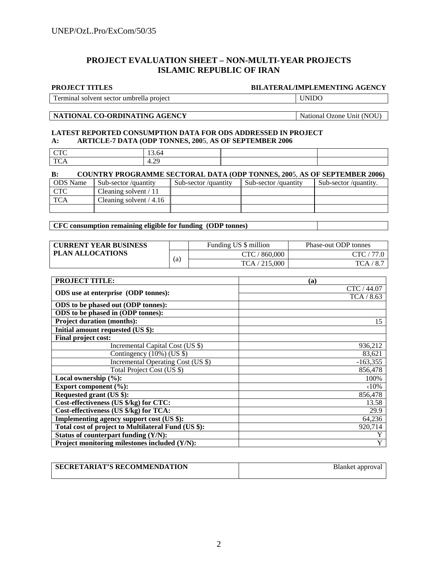#### **PROJECT EVALUATION SHEET – NON-MULTI-YEAR PROJECTS ISLAMIC REPUBLIC OF IRAN**

#### **PROJECT TITLES BILATERAL/IMPLEMENTING AGENCY**

Terminal solvent sector umbrella project UNIDO

#### **NATIONAL CO-ORDINATING AGENCY** National Ozone Unit (NOU)

#### **LATEST REPORTED CONSUMPTION DATA FOR ODS ADDRESSED IN PROJECT A: ARTICLE-7 DATA (ODP TONNES, 200**5, **AS OF SEPTEMBER 2006**

| <b>CTC</b> | 1 <sub>2</sub><br>67<br>$13.0 +$ |  |
|------------|----------------------------------|--|
| TC<br>ICA  | 20<br>4.4.                       |  |

| <b>COUNTRY PROGRAMME SECTORAL DATA (ODP TONNES, 2005, AS OF SEPTEMBER 2006)</b><br>B: |                          |                     |                     |                      |  |  |  |
|---------------------------------------------------------------------------------------|--------------------------|---------------------|---------------------|----------------------|--|--|--|
| <b>ODS</b> Name                                                                       | Sub-sector/quantity      | Sub-sector/quantity | Sub-sector/quantity | Sub-sector/quantity. |  |  |  |
| <b>CTC</b>                                                                            | Cleaning solvent $/ 11$  |                     |                     |                      |  |  |  |
| TCA                                                                                   | Cleaning solvent $/4.16$ |                     |                     |                      |  |  |  |
|                                                                                       |                          |                     |                     |                      |  |  |  |

**CFC consumption remaining eligible for funding (ODP tonnes)** 

| <b>CURRENT YEAR BUSINESS</b> |     | Funding US \$ million | Phase-out ODP tonnes |
|------------------------------|-----|-----------------------|----------------------|
| <b>PLAN ALLOCATIONS</b>      |     | CTC / 860.000         | CTC / 77.            |
|                              | (a, | TCA / 215,000         | TCA / 8.             |

| <b>PROJECT TITLE:</b>                               | (a)            |
|-----------------------------------------------------|----------------|
| ODS use at enterprise (ODP tonnes):                 | CTC / 44.07    |
|                                                     | TCA/8.63       |
| ODS to be phased out (ODP tonnes):                  |                |
| ODS to be phased in (ODP tonnes):                   |                |
| <b>Project duration (months):</b>                   | 15             |
| Initial amount requested (US \$):                   |                |
| Final project cost:                                 |                |
| Incremental Capital Cost (US \$)                    | 936,212        |
| Contingency (10%) (US \$)                           | 83,621         |
| Incremental Operating Cost (US \$)                  | $-163,355$     |
| Total Project Cost (US \$)                          | 856,478        |
| Local ownership $(\%):$                             | 100%           |
| Export component (%):                               | $\langle 10\%$ |
| Requested grant (US \$):                            | 856,478        |
| Cost-effectiveness (US \$/kg) for CTC:              | 13.58          |
| Cost-effectiveness (US \$/kg) for TCA:              | 29.9           |
| Implementing agency support cost (US \$):           | 64,236         |
| Total cost of project to Multilateral Fund (US \$): | 920,714        |
| Status of counterpart funding (Y/N):                | Y              |
| Project monitoring milestones included (Y/N):       | Y              |

| <b>SECRETARIAT'S RECOMMENDATION</b> | Blanket approval |
|-------------------------------------|------------------|
|                                     |                  |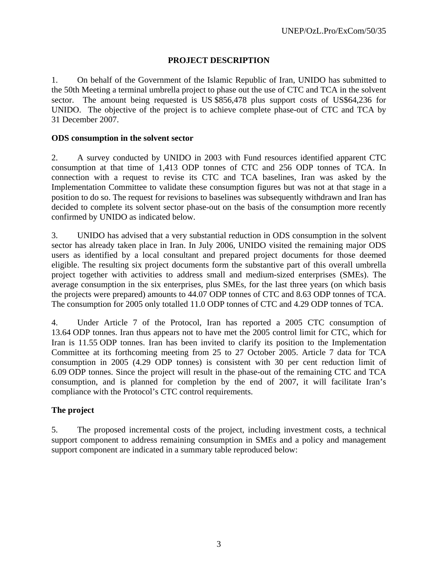# **PROJECT DESCRIPTION**

1. On behalf of the Government of the Islamic Republic of Iran, UNIDO has submitted to the 50th Meeting a terminal umbrella project to phase out the use of CTC and TCA in the solvent sector. The amount being requested is US \$856,478 plus support costs of US\$64,236 for UNIDO. The objective of the project is to achieve complete phase-out of CTC and TCA by 31 December 2007.

#### **ODS consumption in the solvent sector**

2. A survey conducted by UNIDO in 2003 with Fund resources identified apparent CTC consumption at that time of 1,413 ODP tonnes of CTC and 256 ODP tonnes of TCA. In connection with a request to revise its CTC and TCA baselines, Iran was asked by the Implementation Committee to validate these consumption figures but was not at that stage in a position to do so. The request for revisions to baselines was subsequently withdrawn and Iran has decided to complete its solvent sector phase-out on the basis of the consumption more recently confirmed by UNIDO as indicated below.

3. UNIDO has advised that a very substantial reduction in ODS consumption in the solvent sector has already taken place in Iran. In July 2006, UNIDO visited the remaining major ODS users as identified by a local consultant and prepared project documents for those deemed eligible. The resulting six project documents form the substantive part of this overall umbrella project together with activities to address small and medium-sized enterprises (SMEs). The average consumption in the six enterprises, plus SMEs, for the last three years (on which basis the projects were prepared) amounts to 44.07 ODP tonnes of CTC and 8.63 ODP tonnes of TCA. The consumption for 2005 only totalled 11.0 ODP tonnes of CTC and 4.29 ODP tonnes of TCA.

4. Under Article 7 of the Protocol, Iran has reported a 2005 CTC consumption of 13.64 ODP tonnes. Iran thus appears not to have met the 2005 control limit for CTC, which for Iran is 11.55 ODP tonnes. Iran has been invited to clarify its position to the Implementation Committee at its forthcoming meeting from 25 to 27 October 2005. Article 7 data for TCA consumption in 2005 (4.29 ODP tonnes) is consistent with 30 per cent reduction limit of 6.09 ODP tonnes. Since the project will result in the phase-out of the remaining CTC and TCA consumption, and is planned for completion by the end of 2007, it will facilitate Iran's compliance with the Protocol's CTC control requirements.

# **The project**

5. The proposed incremental costs of the project, including investment costs, a technical support component to address remaining consumption in SMEs and a policy and management support component are indicated in a summary table reproduced below: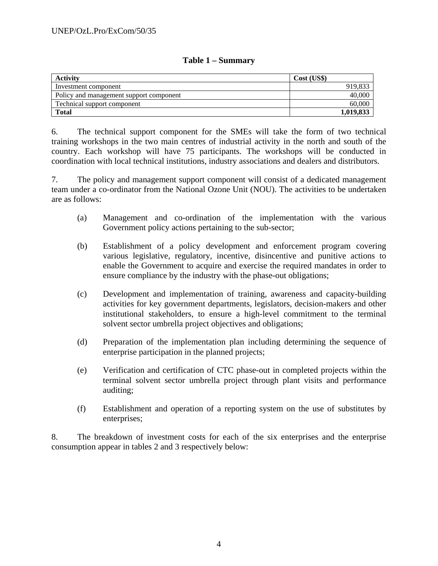#### **Table 1 – Summary**

| Activity                                | Cost (USS) |
|-----------------------------------------|------------|
| Investment component                    | 919.833    |
| Policy and management support component | 40,000     |
| Technical support component             | 60,000     |
| <b>Total</b>                            | 1,019,833  |

6. The technical support component for the SMEs will take the form of two technical training workshops in the two main centres of industrial activity in the north and south of the country. Each workshop will have 75 participants. The workshops will be conducted in coordination with local technical institutions, industry associations and dealers and distributors.

7. The policy and management support component will consist of a dedicated management team under a co-ordinator from the National Ozone Unit (NOU). The activities to be undertaken are as follows:

- (a) Management and co-ordination of the implementation with the various Government policy actions pertaining to the sub-sector;
- (b) Establishment of a policy development and enforcement program covering various legislative, regulatory, incentive, disincentive and punitive actions to enable the Government to acquire and exercise the required mandates in order to ensure compliance by the industry with the phase-out obligations;
- (c) Development and implementation of training, awareness and capacity-building activities for key government departments, legislators, decision-makers and other institutional stakeholders, to ensure a high-level commitment to the terminal solvent sector umbrella project objectives and obligations;
- (d) Preparation of the implementation plan including determining the sequence of enterprise participation in the planned projects;
- (e) Verification and certification of CTC phase-out in completed projects within the terminal solvent sector umbrella project through plant visits and performance auditing;
- (f) Establishment and operation of a reporting system on the use of substitutes by enterprises;

8. The breakdown of investment costs for each of the six enterprises and the enterprise consumption appear in tables 2 and 3 respectively below: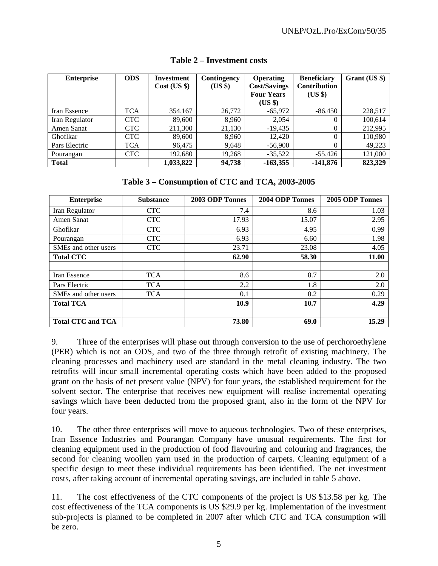| <b>Enterprise</b> | <b>ODS</b> | <b>Investment</b><br>Cost (US \$) | Contingency<br>(US \$) | <b>Operating</b><br><b>Cost/Savings</b><br><b>Four Years</b><br>(US \$) | <b>Beneficiary</b><br><b>Contribution</b><br>(US \$) | Grant (US \$) |
|-------------------|------------|-----------------------------------|------------------------|-------------------------------------------------------------------------|------------------------------------------------------|---------------|
| Iran Essence      | <b>TCA</b> | 354,167                           | 26,772                 | $-65,972$                                                               | $-86,450$                                            | 228,517       |
| Iran Regulator    | <b>CTC</b> | 89,600                            | 8.960                  | 2,054                                                                   |                                                      | 100,614       |
| Amen Sanat        | <b>CTC</b> | 211,300                           | 21,130                 | $-19,435$                                                               |                                                      | 212,995       |
| Ghoflkar          | <b>CTC</b> | 89,600                            | 8.960                  | 12.420                                                                  |                                                      | 110,980       |
| Pars Electric     | <b>TCA</b> | 96,475                            | 9,648                  | $-56,900$                                                               |                                                      | 49,223        |
| Pourangan         | <b>CTC</b> | 192,680                           | 19,268                 | $-35.522$                                                               | $-55,426$                                            | 121,000       |
| <b>Total</b>      |            | 1,033,822                         | 94,738                 | $-163,355$                                                              | $-141,876$                                           | 823,329       |

#### **Table 2 – Investment costs**

# **Table 3 – Consumption of CTC and TCA, 2003-2005**

| <b>Enterprise</b>                | <b>Substance</b> | 2003 ODP Tonnes | 2004 ODP Tonnes | 2005 ODP Tonnes |
|----------------------------------|------------------|-----------------|-----------------|-----------------|
| Iran Regulator                   | <b>CTC</b>       | 7.4             | 8.6             | 1.03            |
| Amen Sanat                       | <b>CTC</b>       | 17.93           | 15.07           | 2.95            |
| Ghoflkar                         | <b>CTC</b>       | 6.93            | 4.95            | 0.99            |
| Pourangan                        | <b>CTC</b>       | 6.93            | 6.60            | 1.98            |
| SMEs and other users             | <b>CTC</b>       | 23.71           | 23.08           | 4.05            |
| <b>Total CTC</b>                 |                  | 62.90           | 58.30           | 11.00           |
|                                  |                  |                 |                 |                 |
| Iran Essence                     | <b>TCA</b>       | 8.6             | 8.7             | 2.0             |
| Pars Electric                    | <b>TCA</b>       | 2.2             | 1.8             | 2.0             |
| SME <sub>s</sub> and other users | <b>TCA</b>       | 0.1             | 0.2             | 0.29            |
| <b>Total TCA</b>                 |                  | 10.9            | 10.7            | 4.29            |
|                                  |                  |                 |                 |                 |
| <b>Total CTC and TCA</b>         |                  | 73.80           | 69.0            | 15.29           |

9. Three of the enterprises will phase out through conversion to the use of perchoroethylene (PER) which is not an ODS, and two of the three through retrofit of existing machinery. The cleaning processes and machinery used are standard in the metal cleaning industry. The two retrofits will incur small incremental operating costs which have been added to the proposed grant on the basis of net present value (NPV) for four years, the established requirement for the solvent sector. The enterprise that receives new equipment will realise incremental operating savings which have been deducted from the proposed grant, also in the form of the NPV for four years.

10. The other three enterprises will move to aqueous technologies. Two of these enterprises, Iran Essence Industries and Pourangan Company have unusual requirements. The first for cleaning equipment used in the production of food flavouring and colouring and fragrances, the second for cleaning woollen yarn used in the production of carpets. Cleaning equipment of a specific design to meet these individual requirements has been identified. The net investment costs, after taking account of incremental operating savings, are included in table 5 above.

11. The cost effectiveness of the CTC components of the project is US \$13.58 per kg. The cost effectiveness of the TCA components is US \$29.9 per kg. Implementation of the investment sub-projects is planned to be completed in 2007 after which CTC and TCA consumption will be zero.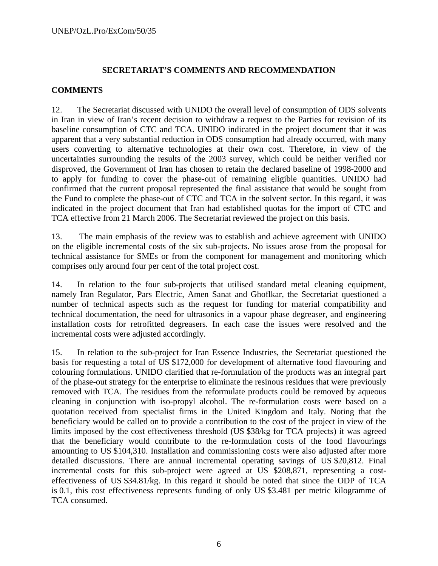#### **SECRETARIAT'S COMMENTS AND RECOMMENDATION**

#### **COMMENTS**

12. The Secretariat discussed with UNIDO the overall level of consumption of ODS solvents in Iran in view of Iran's recent decision to withdraw a request to the Parties for revision of its baseline consumption of CTC and TCA. UNIDO indicated in the project document that it was apparent that a very substantial reduction in ODS consumption had already occurred, with many users converting to alternative technologies at their own cost. Therefore, in view of the uncertainties surrounding the results of the 2003 survey, which could be neither verified nor disproved, the Government of Iran has chosen to retain the declared baseline of 1998-2000 and to apply for funding to cover the phase-out of remaining eligible quantities. UNIDO had confirmed that the current proposal represented the final assistance that would be sought from the Fund to complete the phase-out of CTC and TCA in the solvent sector. In this regard, it was indicated in the project document that Iran had established quotas for the import of CTC and TCA effective from 21 March 2006. The Secretariat reviewed the project on this basis.

13. The main emphasis of the review was to establish and achieve agreement with UNIDO on the eligible incremental costs of the six sub-projects. No issues arose from the proposal for technical assistance for SMEs or from the component for management and monitoring which comprises only around four per cent of the total project cost.

14. In relation to the four sub-projects that utilised standard metal cleaning equipment, namely Iran Regulator, Pars Electric, Amen Sanat and Ghoflkar, the Secretariat questioned a number of technical aspects such as the request for funding for material compatibility and technical documentation, the need for ultrasonics in a vapour phase degreaser, and engineering installation costs for retrofitted degreasers. In each case the issues were resolved and the incremental costs were adjusted accordingly.

15. In relation to the sub-project for Iran Essence Industries, the Secretariat questioned the basis for requesting a total of US \$172,000 for development of alternative food flavouring and colouring formulations. UNIDO clarified that re-formulation of the products was an integral part of the phase-out strategy for the enterprise to eliminate the resinous residues that were previously removed with TCA. The residues from the reformulate products could be removed by aqueous cleaning in conjunction with iso-propyl alcohol. The re-formulation costs were based on a quotation received from specialist firms in the United Kingdom and Italy. Noting that the beneficiary would be called on to provide a contribution to the cost of the project in view of the limits imposed by the cost effectiveness threshold (US \$38/kg for TCA projects) it was agreed that the beneficiary would contribute to the re-formulation costs of the food flavourings amounting to US \$104,310. Installation and commissioning costs were also adjusted after more detailed discussions. There are annual incremental operating savings of US \$20,812. Final incremental costs for this sub-project were agreed at US \$208,871, representing a costeffectiveness of US \$34.81/kg. In this regard it should be noted that since the ODP of TCA is 0.1, this cost effectiveness represents funding of only US \$3.481 per metric kilogramme of TCA consumed.